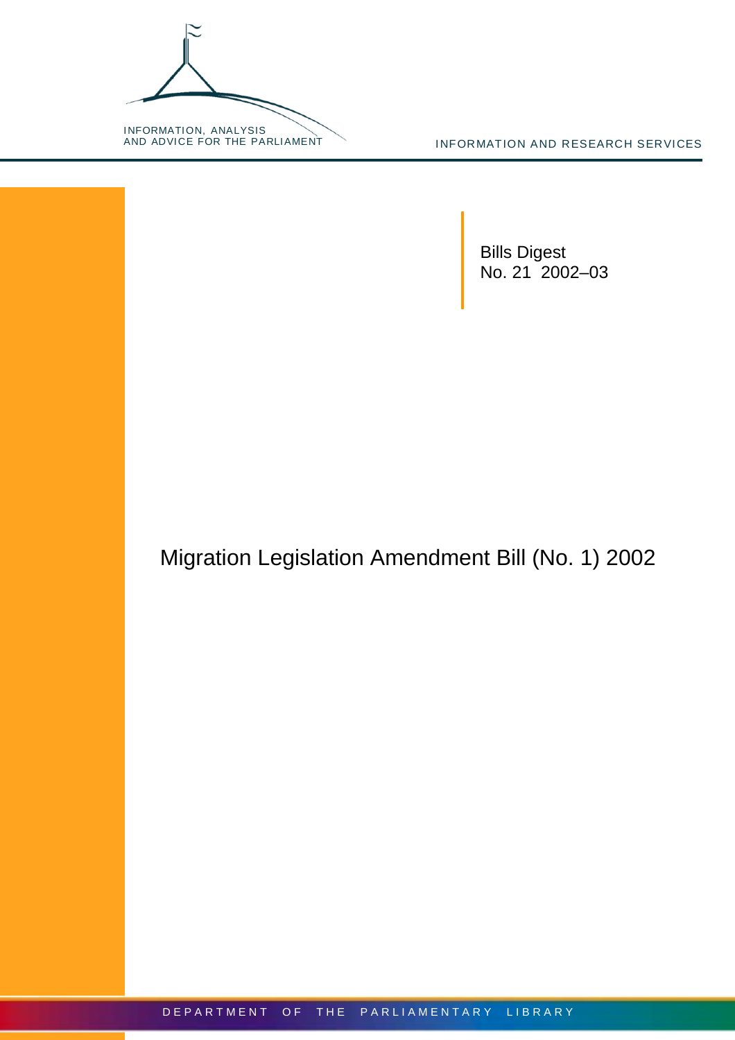

INFORMATION AND RESEARCH SERVICES

Bills Digest No. 21 2002–03

Migration Legislation Amendment Bill (No. 1) 2002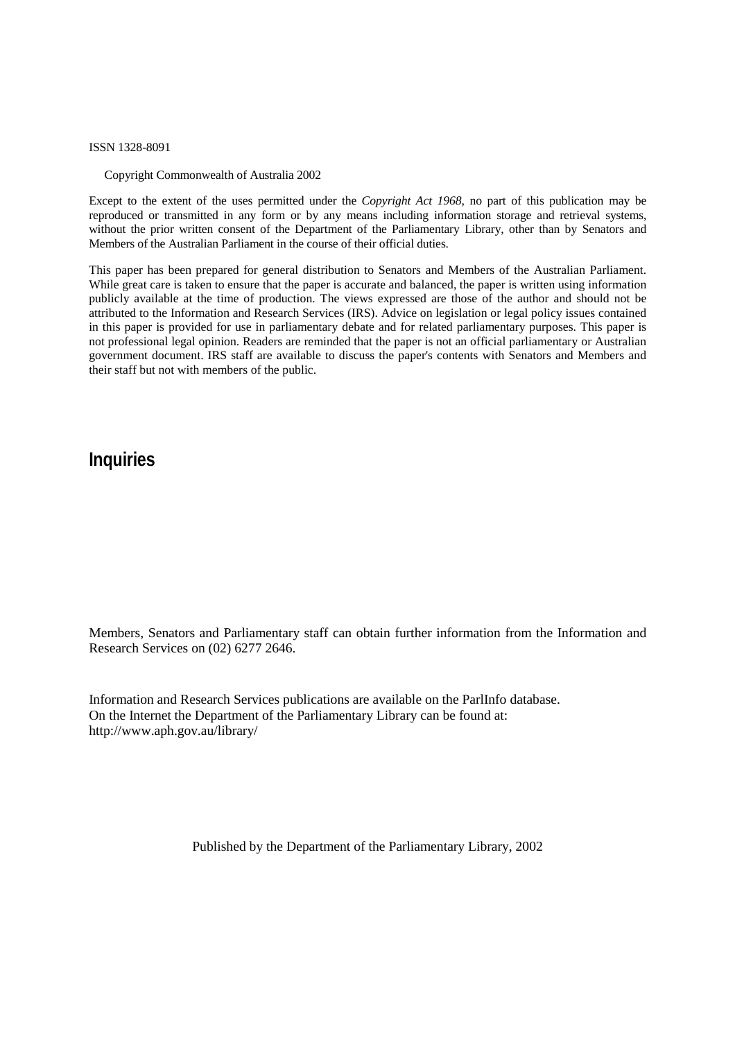ISSN 1328-8091

Copyright Commonwealth of Australia 2002

Except to the extent of the uses permitted under the *Copyright Act 1968*, no part of this publication may be reproduced or transmitted in any form or by any means including information storage and retrieval systems, without the prior written consent of the Department of the Parliamentary Library, other than by Senators and Members of the Australian Parliament in the course of their official duties.

This paper has been prepared for general distribution to Senators and Members of the Australian Parliament. While great care is taken to ensure that the paper is accurate and balanced, the paper is written using information publicly available at the time of production. The views expressed are those of the author and should not be attributed to the Information and Research Services (IRS). Advice on legislation or legal policy issues contained in this paper is provided for use in parliamentary debate and for related parliamentary purposes. This paper is not professional legal opinion. Readers are reminded that the paper is not an official parliamentary or Australian government document. IRS staff are available to discuss the paper's contents with Senators and Members and their staff but not with members of the public.

## **Inquiries**

Members, Senators and Parliamentary staff can obtain further information from the Information and Research Services on (02) 6277 2646.

Information and Research Services publications are available on the ParlInfo database. On the Internet the Department of the Parliamentary Library can be found at: <http://www.aph.gov.au/library/>

Published by the Department of the Parliamentary Library, 2002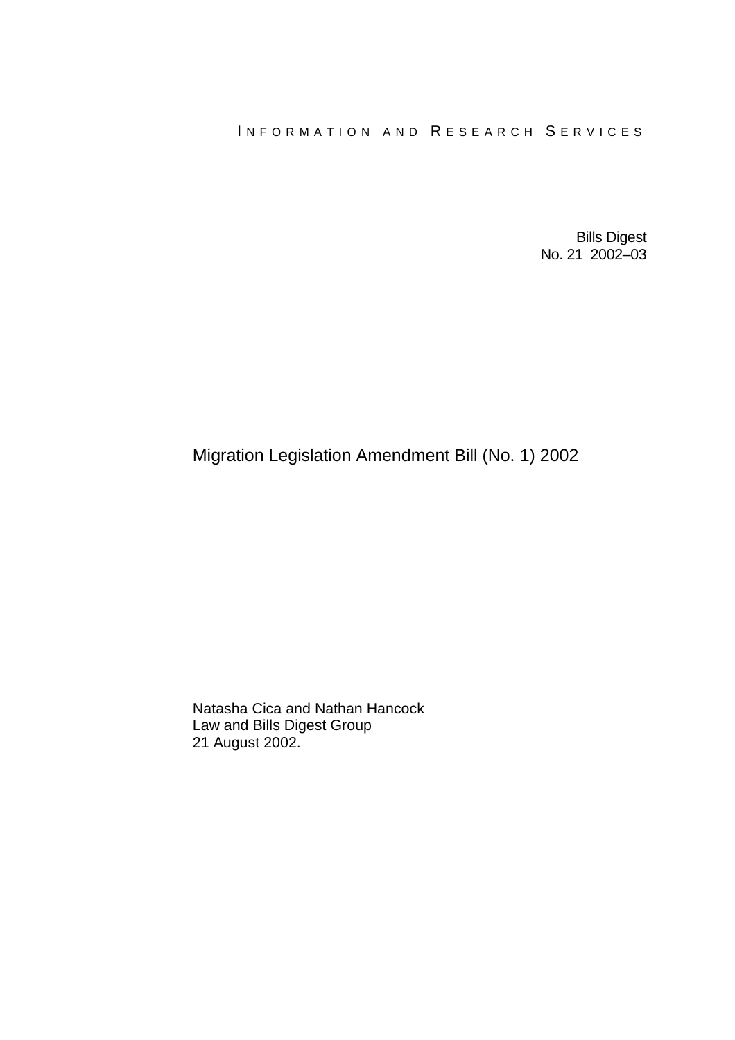### INFORMATION AND RESEARCH SERVICES

Bills Digest No. 21 2002–03

# Migration Legislation Amendment Bill (No. 1) 2002

Natasha Cica and Nathan Hancock Law and Bills Digest Group 21 August 2002.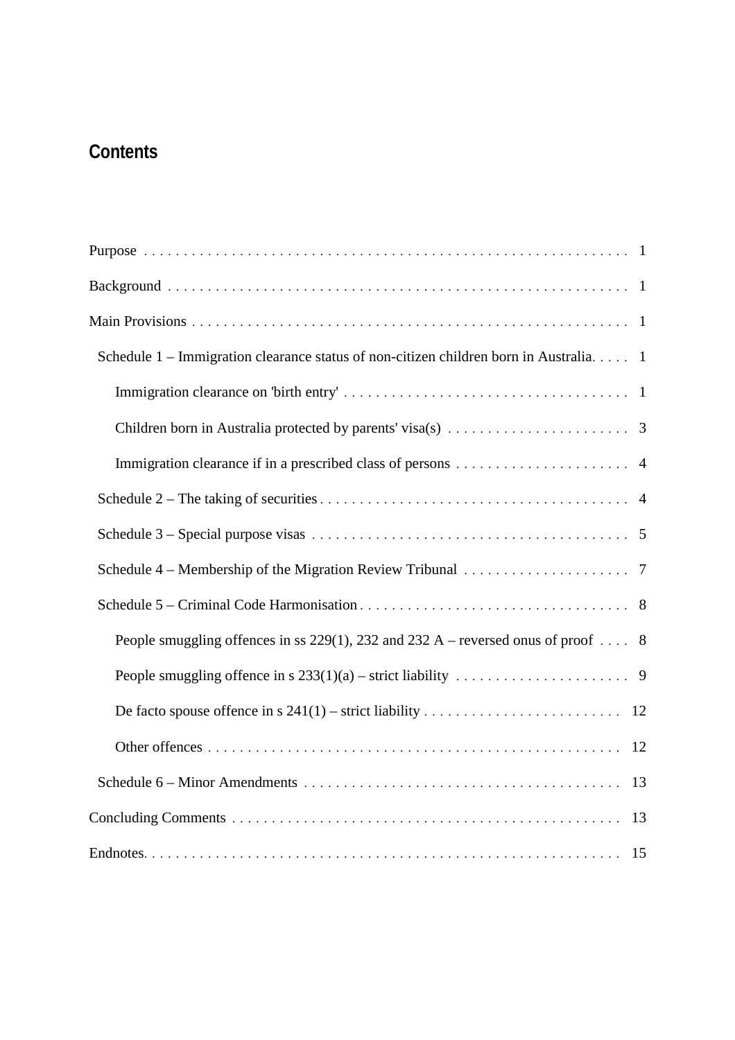# **Contents**

| Schedule 1 – Immigration clearance status of non-citizen children born in Australia. 1                 |
|--------------------------------------------------------------------------------------------------------|
|                                                                                                        |
| Children born in Australia protected by parents' visa(s) $\dots \dots \dots \dots \dots \dots \dots$ 3 |
|                                                                                                        |
|                                                                                                        |
|                                                                                                        |
|                                                                                                        |
|                                                                                                        |
| People smuggling offences in ss 229(1), 232 and 232 A – reversed onus of proof  8                      |
|                                                                                                        |
|                                                                                                        |
| 12                                                                                                     |
| 13                                                                                                     |
|                                                                                                        |
|                                                                                                        |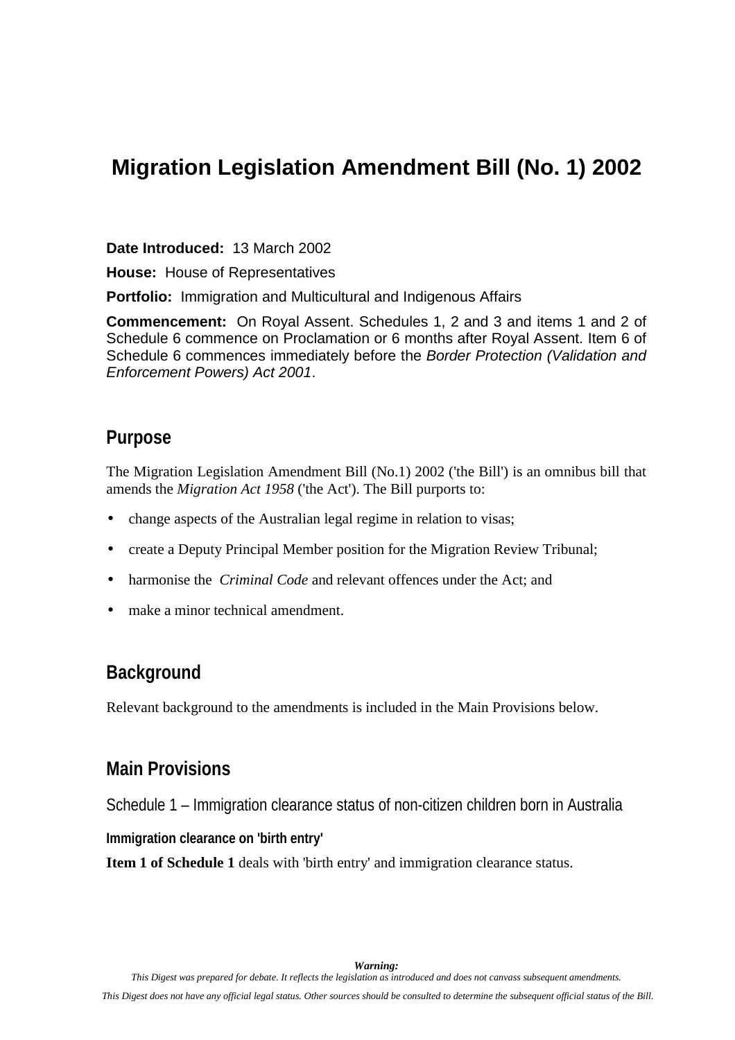# <span id="page-4-0"></span>**Migration Legislation Amendment Bill (No. 1) 2002**

**Date Introduced:** 13 March 2002

**House:** House of Representatives

**Portfolio:** Immigration and Multicultural and Indigenous Affairs

**Commencement:** On Royal Assent. Schedules 1, 2 and 3 and items 1 and 2 of Schedule 6 commence on Proclamation or 6 months after Royal Assent. Item 6 of Schedule 6 commences immediately before the *Border Protection (Validation and Enforcement Powers) Act 2001*.

## **Purpose**

The Migration Legislation Amendment Bill (No.1) 2002 ('the Bill') is an omnibus bill that amends the *Migration Act 1958* ('the Act'). The Bill purports to:

- change aspects of the Australian legal regime in relation to visas;
- create a Deputy Principal Member position for the Migration Review Tribunal;
- harmonise the *Criminal Code* and relevant offences under the Act; and
- make a minor technical amendment.

# **Background**

Relevant background to the amendments is included in the Main Provisions below.

### **Main Provisions**

Schedule 1 – Immigration clearance status of non-citizen children born in Australia

### **Immigration clearance on 'birth entry'**

**Item 1 of Schedule 1** deals with 'birth entry' and immigration clearance status.

*Warning:*

*This Digest was prepared for debate. It reflects the legislation as introduced and does not canvass subsequent amendments.*

*This Digest does not have any official legal status. Other sources should be consulted to determine the subsequent official status of the Bill.*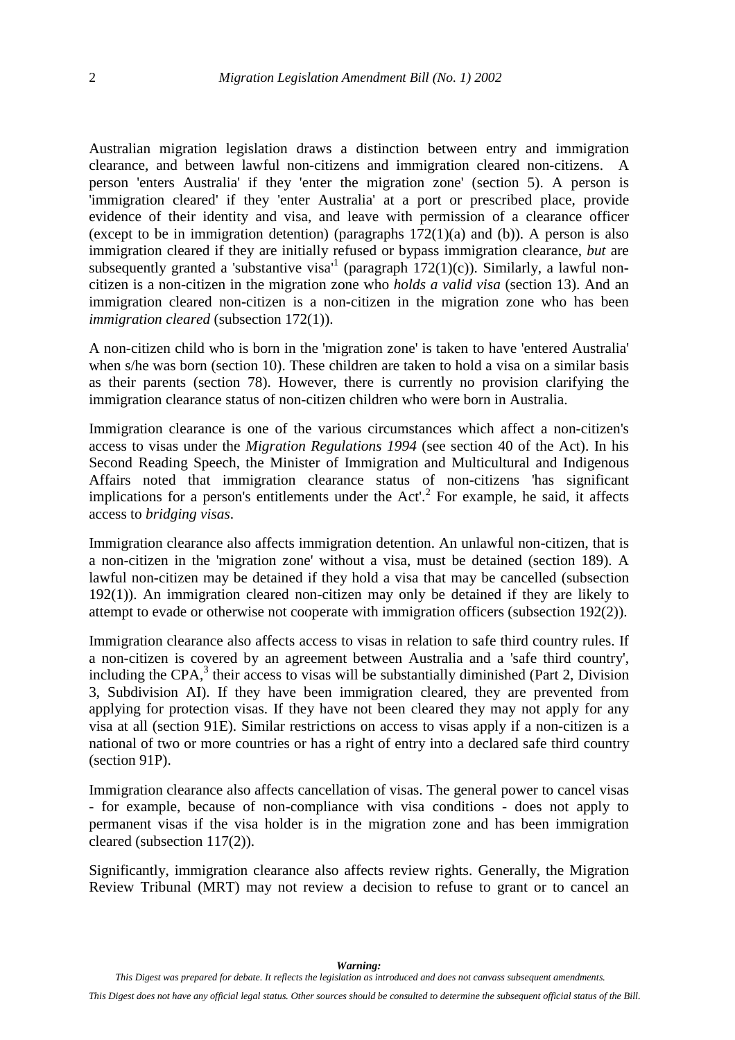Australian migration legislation draws a distinction between entry and immigration clearance, and between lawful non-citizens and immigration cleared non-citizens. A person 'enters Australia' if they 'enter the migration zone' (section 5). A person is 'immigration cleared' if they 'enter Australia' at a port or prescribed place, provide evidence of their identity and visa, and leave with permission of a clearance officer (except to be in immigration detention) (paragraphs  $172(1)(a)$  and (b)). A person is also immigration cleared if they are initially refused or bypass immigration clearance, *but* are subsequently granted a 'substantive visa'<sup>[1](#page--1-0)</sup> (paragraph  $172(1)(c)$ ). Similarly, a lawful noncitizen is a non-citizen in the migration zone who *holds a valid visa* (section 13). And an immigration cleared non-citizen is a non-citizen in the migration zone who has been *immigration cleared* (subsection 172(1)).

A non-citizen child who is born in the 'migration zone' is taken to have 'entered Australia' when s/he was born (section 10). These children are taken to hold a visa on a similar basis as their parents (section 78). However, there is currently no provision clarifying the immigration clearance status of non-citizen children who were born in Australia.

Immigration clearance is one of the various circumstances which affect a non-citizen's access to visas under the *Migration Regulations 1994* (see section 40 of the Act). In his Second Reading Speech, the Minister of Immigration and Multicultural and Indigenous Affairs noted that immigration clearance status [of](#page--1-0) non-citizens 'has significant implications for a person's entitlements under the  $Act'$ .<sup>2</sup> For example, he said, it affects access to *bridging visas*.

Immigration clearance also affects immigration detention. An unlawful non-citizen, that is a non-citizen in the 'migration zone' without a visa, must be detained (section 189). A lawful non-citizen may be detained if they hold a visa that may be cancelled (subsection 192(1)). An immigration cleared non-citizen may only be detained if they are likely to attempt to evade or otherwise not cooperate with immigration officers (subsection 192(2)).

Immigration clearance also affects access to visas in relation to safe third country rules. If a non-citizen is covered by an agreement between Australia and a 'safe third country', including the CPA, $3$  their access to visas will be substantially diminished (Part 2, Division 3, Subdivision AI). If they have been immigration cleared, they are prevented from applying for protection visas. If they have not been cleared they may not apply for any visa at all (section 91E). Similar restrictions on access to visas apply if a non-citizen is a national of two or more countries or has a right of entry into a declared safe third country (section 91P).

Immigration clearance also affects cancellation of visas. The general power to cancel visas - for example, because of non-compliance with visa conditions - does not apply to permanent visas if the visa holder is in the migration zone and has been immigration cleared (subsection 117(2)).

Significantly, immigration clearance also affects review rights. Generally, the Migration Review Tribunal (MRT) may not review a decision to refuse to grant or to cancel an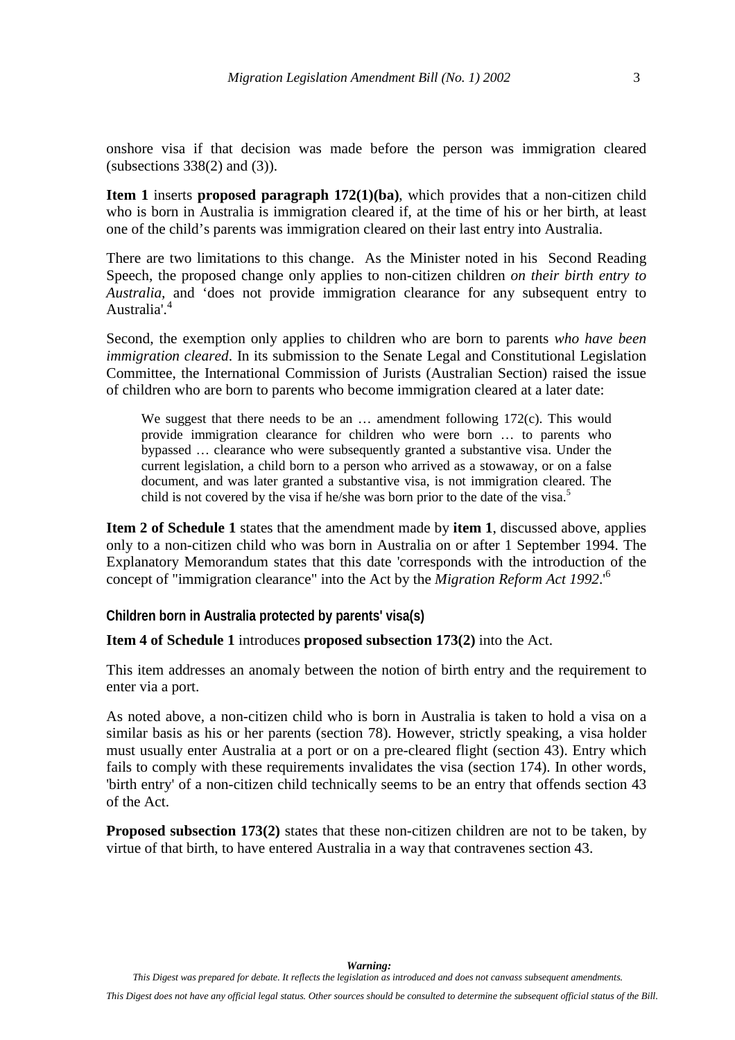<span id="page-6-0"></span>onshore visa if that decision was made before the person was immigration cleared (subsections  $338(2)$  and  $(3)$ ).

**Item 1** inserts **proposed paragraph 172(1)(ba)**, which provides that a non-citizen child who is born in Australia is immigration cleared if, at the time of his or her birth, at least one of the child's parents was immigration cleared on their last entry into Australia.

There are two limitations to this change. As the Minister noted in his Second Reading Speech, the proposed change only applies to non-citizen children *on their birth entry to Australia,* and 'does not provide immigration clearance for any subsequent entry to Australia'.[4](#page--1-0)

Second, the exemption only applies to children who are born to parents *who have been immigration cleared*. In its submission to the Senate Legal and Constitutional Legislation Committee, the International Commission of Jurists (Australian Section) raised the issue of children who are born to parents who become immigration cleared at a later date:

We suggest that there needs to be an  $\ldots$  amendment following 172(c). This would provide immigration clearance for children who were born … to parents who bypassed … clearance who were subsequently granted a substantive visa. Under the current legislation, a child born to a person who arrived as a stowaway, or on a false document, and was later granted a substantive visa, is not immigration cleared. The child is not covered by the visa if he/she was born prior to the date of the visa.<sup>[5](#page--1-0)</sup>

**Item 2 of Schedule 1** states that the amendment made by **item 1**, discussed above, applies only to a non-citizen child who was born in Australia on or after 1 September 1994. The Explanatory Memorandum states that this date 'corresponds with the introduction of the concept of "immigration clearance" into the Act by the *Migration Reform Act 1992*.'[6](#page--1-0)

#### **Children born in Australia protected by parents' visa(s)**

#### **Item 4 of Schedule 1** introduces **proposed subsection 173(2)** into the Act.

This item addresses an anomaly between the notion of birth entry and the requirement to enter via a port.

As noted above, a non-citizen child who is born in Australia is taken to hold a visa on a similar basis as his or her parents (section 78). However, strictly speaking, a visa holder must usually enter Australia at a port or on a pre-cleared flight (section 43). Entry which fails to comply with these requirements invalidates the visa (section 174). In other words, 'birth entry' of a non-citizen child technically seems to be an entry that offends section 43 of the Act.

**Proposed subsection 173(2)** states that these non-citizen children are not to be taken, by virtue of that birth, to have entered Australia in a way that contravenes section 43.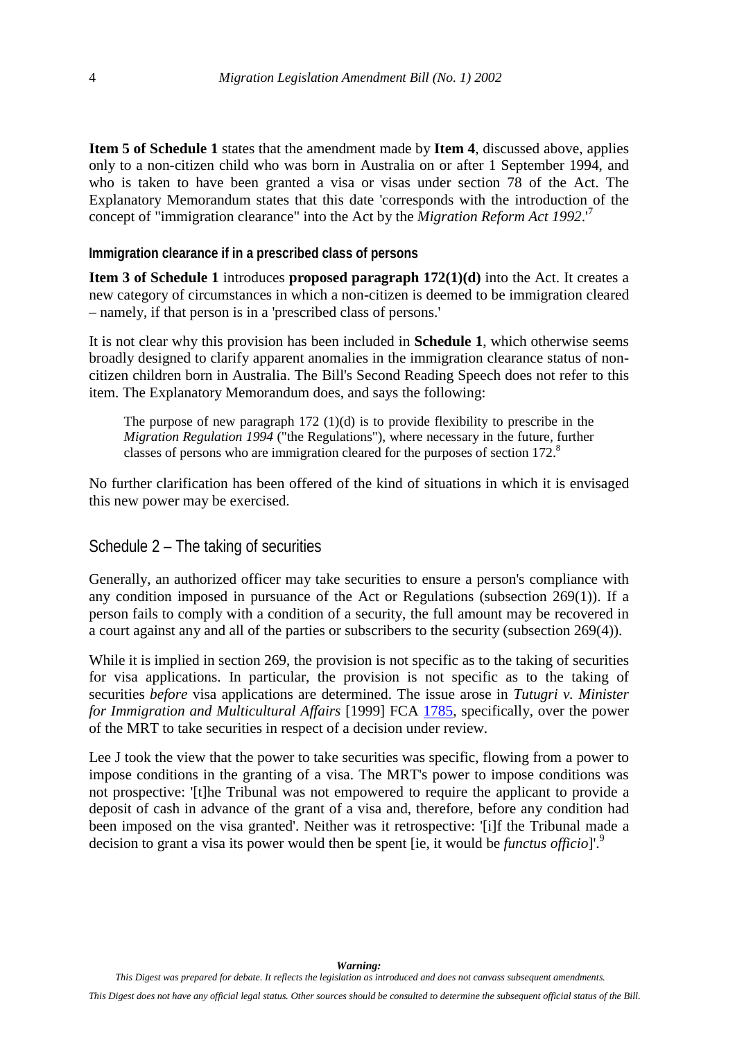<span id="page-7-0"></span>**Item 5 of Schedule 1** states that the amendment made by **Item 4**, discussed above, applies only to a non-citizen child who was born in Australia on or after 1 September 1994, and who is taken to have been granted a visa or visas under section 78 of the Act. The Explanatory Memorandum states that this date 'corresponds with the introduction of the concept of "immigration clearance" into the Act by the *Migration Reform Act 1992*.'[7](#page--1-0)

#### **Immigration clearance if in a prescribed class of persons**

**Item 3 of Schedule 1** introduces **proposed paragraph 172(1)(d)** into the Act. It creates a new category of circumstances in which a non-citizen is deemed to be immigration cleared – namely, if that person is in a 'prescribed class of persons.'

It is not clear why this provision has been included in **Schedule 1**, which otherwise seems broadly designed to clarify apparent anomalies in the immigration clearance status of noncitizen children born in Australia. The Bill's Second Reading Speech does not refer to this item. The Explanatory Memorandum does, and says the following:

The purpose of new paragraph  $172 \left(1\right)$ (d) is to provide flexibility to prescribe in the *Migration Regulation 1994* ("the Regulations"), where necessary in the future, [fu](#page--1-0)rther classes of persons who are immigration cleared for the purposes of section 172.<sup>8</sup>

No further clarification has been offered of the kind of situations in which it is envisaged this new power may be exercised.

### Schedule 2 – The taking of securities

Generally, an authorized officer may take securities to ensure a person's compliance with any condition imposed in pursuance of the Act or Regulations (subsection 269(1)). If a person fails to comply with a condition of a security, the full amount may be recovered in a court against any and all of the parties or subscribers to the security (subsection 269(4)).

While it is implied in section 269, the provision is not specific as to the taking of securities for visa applications. In particular, the provision is not specific as to the taking of securities *before* visa applications are determined. The issue arose in *Tutugri v. Minister for Immigration and Multicultural Affairs* [1999] FCA [1785,](http://www.austlii.edu.au/au/cases/cth/federal_ct/1999/1785.html) specifically, over the power of the MRT to take securities in respect of a decision under review.

Lee J took the view that the power to take securities was specific, flowing from a power to impose conditions in the granting of a visa. The MRT's power to impose conditions was not prospective: '[t]he Tribunal was not empowered to require the applicant to provide a deposit of cash in advance of the grant of a visa and, therefore, before any condition had been imposed on the visa granted'. Neither was it retrospective: '[i]f the Tribunal made a decision to grant a visa its power would then be spent [ie, it would be *functus officio*]'.[9](#page--1-0)

*This Digest does not have any official legal status. Other sources should be consulted to determine the subsequent official status of the Bill.*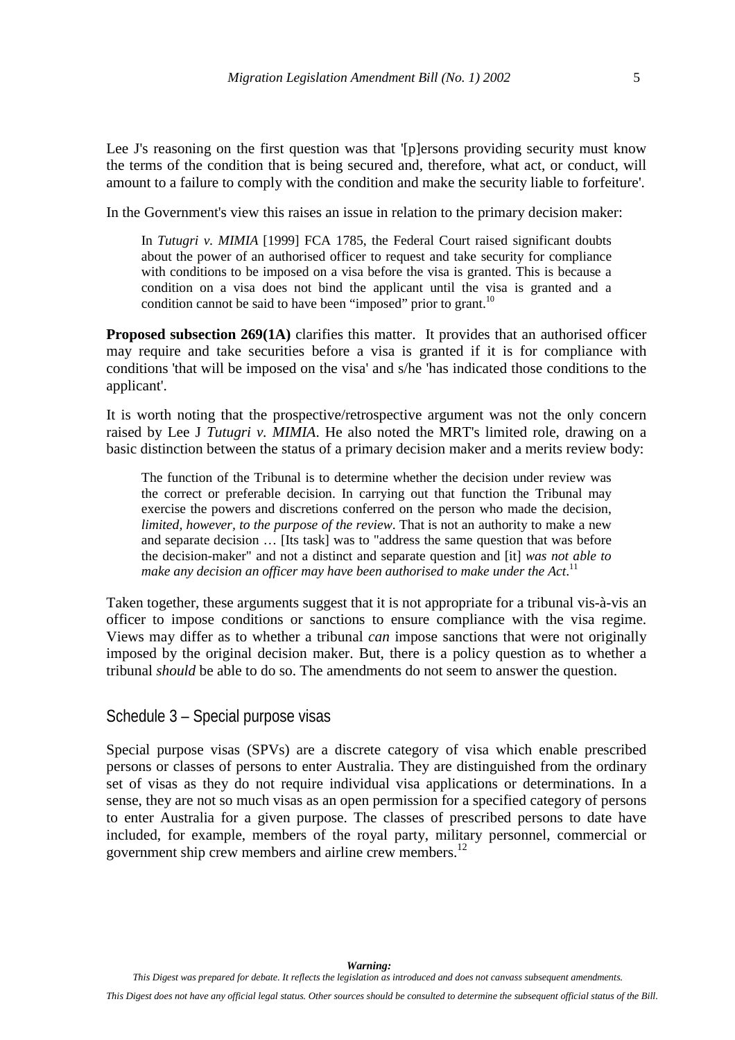<span id="page-8-0"></span>Lee J's reasoning on the first question was that '[p]ersons providing security must know the terms of the condition that is being secured and, therefore, what act, or conduct, will amount to a failure to comply with the condition and make the security liable to forfeiture'.

In the Government's view this raises an issue in relation to the primary decision maker:

In *Tutugri v. MIMIA* [1999] FCA 1785, the Federal Court raised significant doubts about the power of an authorised officer to request and take security for compliance with conditions to be imposed on a visa before the visa is granted. This is because a condition on a visa does not bind the applicant until the visa is granted and a condition cannot be said to have been "imposed" prior to grant.<sup>[10](#page--1-0)</sup>

**Proposed subsection 269(1A)** clarifies this matter. It provides that an authorised officer may require and take securities before a visa is granted if it is for compliance with conditions 'that will be imposed on the visa' and s/he 'has indicated those conditions to the applicant'.

It is worth noting that the prospective/retrospective argument was not the only concern raised by Lee J *Tutugri v. MIMIA*. He also noted the MRT's limited role, drawing on a basic distinction between the status of a primary decision maker and a merits review body:

The function of the Tribunal is to determine whether the decision under review was the correct or preferable decision. In carrying out that function the Tribunal may exercise the powers and discretions conferred on the person who made the decision, *limited, however, to the purpose of the review*. That is not an authority to make a new and separate decision … [Its task] was to "address the same question that was before the decision-maker" and not a distinct and separate question and [it] *was not able to* make any decision an officer may have been authorised to make under the Act.<sup>[11](#page--1-0)</sup>

Taken together, these arguments suggest that it is not appropriate for a tribunal vis-à-vis an officer to impose conditions or sanctions to ensure compliance with the visa regime. Views may differ as to whether a tribunal *can* impose sanctions that were not originally imposed by the original decision maker. But, there is a policy question as to whether a tribunal *should* be able to do so. The amendments do not seem to answer the question.

Schedule 3 – Special purpose visas

Special purpose visas (SPVs) are a discrete category of visa which enable prescribed persons or classes of persons to enter Australia. They are distinguished from the ordinary set of visas as they do not require individual visa applications or determinations. In a sense, they are not so much visas as an open permission for a specified category of persons to enter Australia for a given purpose. The classes of prescribed persons to date have included, for example, members of the royal party, military personnel, commercial or government ship crew members and airline crew members.<sup>12</sup>

*This Digest does not have any official legal status. Other sources should be consulted to determine the subsequent official status of the Bill.*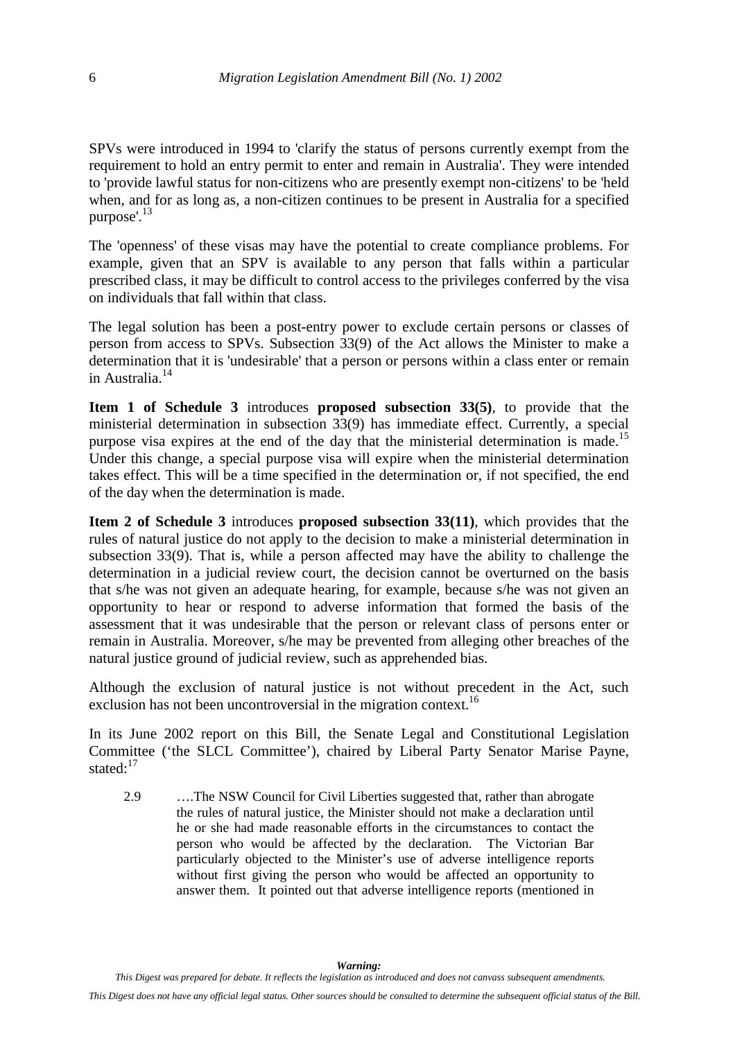SPVs were introduced in 1994 to 'clarify the status of persons currently exempt from the requirement to hold an entry permit to enter and remain in Australia'. They were intended to 'provide lawful status for non-citizens who are presently exempt non-citizens' to be 'held when, and for as long as, a non-citizen continues to be present in Australia for a specified purpose'.[13](#page--1-0)

The 'openness' of these visas may have the potential to create compliance problems. For example, given that an SPV is available to any person that falls within a particular prescribed class, it may be difficult to control access to the privileges conferred by the visa on individuals that fall within that class.

The legal solution has been a post-entry power to exclude certain persons or classes of person from access to SPVs. Subsection 33(9) of the Act allows the Minister to make a determination that it is 'undesirable' that a person or persons within a class enter or remain in Australia<sup>[14](#page--1-0)</sup>

**Item 1 of Schedule 3** introduces **proposed subsection 33(5)**, to provide that the ministerial determination in subsection 33(9) has immediate effect. Currently, a special purpose visa expires at the end of the day that the ministerial determination is made.<sup>[15](#page--1-0)</sup> Under this change, a special purpose visa will expire when the ministerial determination takes effect. This will be a time specified in the determination or, if not specified, the end of the day when the determination is made.

**Item 2 of Schedule 3** introduces **proposed subsection 33(11)**, which provides that the rules of natural justice do not apply to the decision to make a ministerial determination in subsection 33(9). That is, while a person affected may have the ability to challenge the determination in a judicial review court, the decision cannot be overturned on the basis that s/he was not given an adequate hearing, for example, because s/he was not given an opportunity to hear or respond to adverse information that formed the basis of the assessment that it was undesirable that the person or relevant class of persons enter or remain in Australia. Moreover, s/he may be prevented from alleging other breaches of the natural justice ground of judicial review, such as apprehended bias.

Although the exclusion of natural justice is not without precedent in the Act, such exclusion has not been uncontroversial in the migration context.<sup>[16](#page--1-0)</sup>

In its June 2002 report on this Bill, the Senate Legal and Constitutional Legislation Committee ('the SLCL Committee'), chaired by Liberal Party Senator Marise Payne, stated:<sup>[17](#page--1-0)</sup>

2.9 ….The NSW Council for Civil Liberties suggested that, rather than abrogate the rules of natural justice, the Minister should not make a declaration until he or she had made reasonable efforts in the circumstances to contact the person who would be affected by the declaration. The Victorian Bar particularly objected to the Minister's use of adverse intelligence reports without first giving the person who would be affected an opportunity to answer them. It pointed out that adverse intelligence reports (mentioned in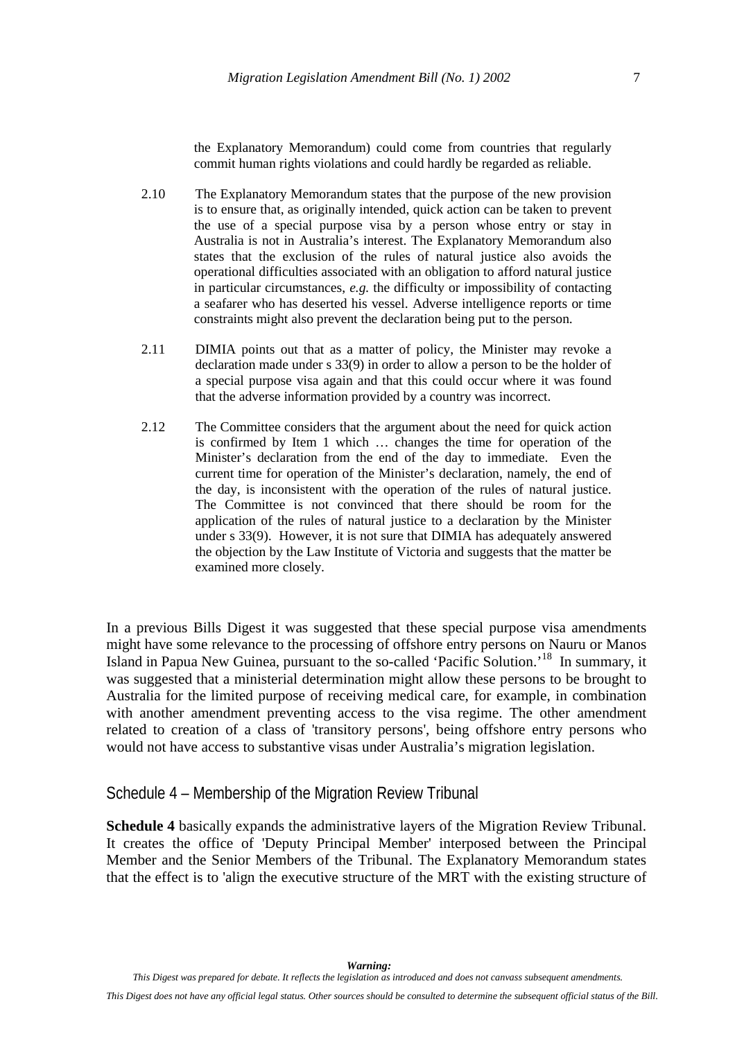the Explanatory Memorandum) could come from countries that regularly commit human rights violations and could hardly be regarded as reliable.

- <span id="page-10-0"></span>2.10 The Explanatory Memorandum states that the purpose of the new provision is to ensure that, as originally intended, quick action can be taken to prevent the use of a special purpose visa by a person whose entry or stay in Australia is not in Australia's interest. The Explanatory Memorandum also states that the exclusion of the rules of natural justice also avoids the operational difficulties associated with an obligation to afford natural justice in particular circumstances, *e.g.* the difficulty or impossibility of contacting a seafarer who has deserted his vessel. Adverse intelligence reports or time constraints might also prevent the declaration being put to the person.
- 2.11 DIMIA points out that as a matter of policy, the Minister may revoke a declaration made under s 33(9) in order to allow a person to be the holder of a special purpose visa again and that this could occur where it was found that the adverse information provided by a country was incorrect.
- 2.12 The Committee considers that the argument about the need for quick action is confirmed by Item 1 which … changes the time for operation of the Minister's declaration from the end of the day to immediate. Even the current time for operation of the Minister's declaration, namely, the end of the day, is inconsistent with the operation of the rules of natural justice. The Committee is not convinced that there should be room for the application of the rules of natural justice to a declaration by the Minister under s 33(9). However, it is not sure that DIMIA has adequately answered the objection by the Law Institute of Victoria and suggests that the matter be examined more closely.

In a previous Bills Digest it was suggested that these special purpose visa amendments might have some relevance to the processing of offshore entry persons on Nauru or Manos Island in Papua New Guinea, pursuant to the so-called 'Pacific Solution.'[18](#page--1-0) In summary, it was suggested that a ministerial determination might allow these persons to be brought to Australia for the limited purpose of receiving medical care, for example, in combination with another amendment preventing access to the visa regime. The other amendment related to creation of a class of 'transitory persons', being offshore entry persons who would not have access to substantive visas under Australia's migration legislation.

#### Schedule 4 – Membership of the Migration Review Tribunal

**Schedule 4** basically expands the administrative layers of the Migration Review Tribunal. It creates the office of 'Deputy Principal Member' interposed between the Principal Member and the Senior Members of the Tribunal. The Explanatory Memorandum states that the effect is to 'align the executive structure of the MRT with the existing structure of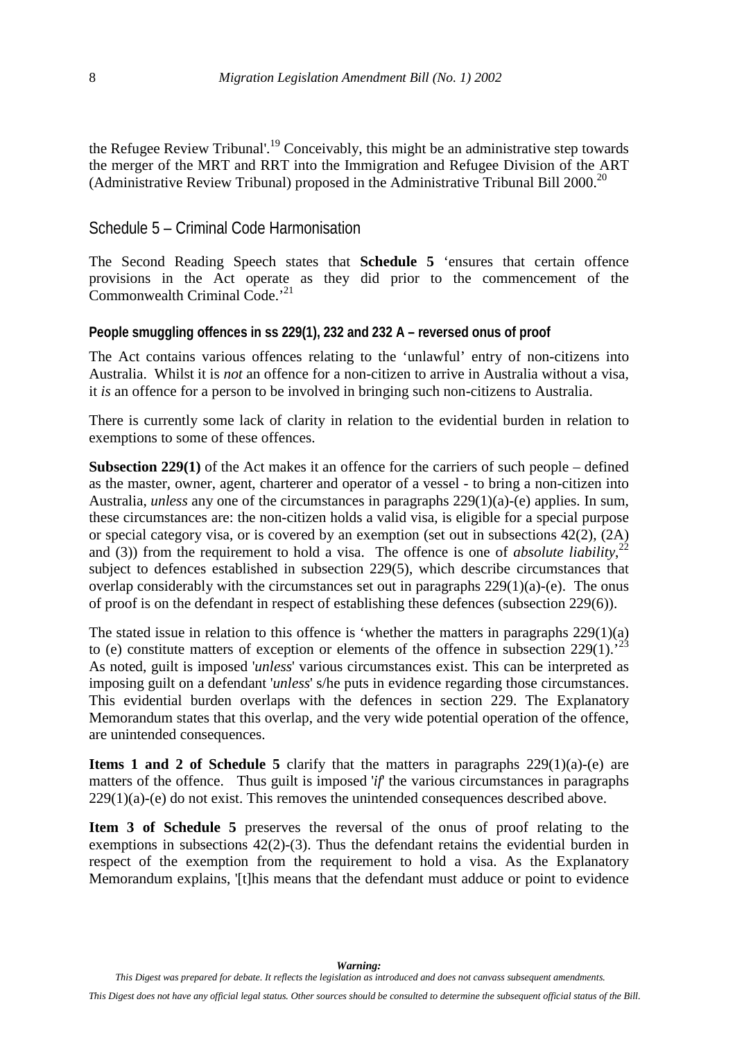<span id="page-11-0"></span>the Refugee Review Tribunal'.[19](#page--1-0) Conceivably, this might be an administrative step towards the merger of the MRT and RRT into the Immigration and Refugee Division of the ART (Administrative Review Tribunal) proposed in the Administrative Tribunal Bill 2000[.20](#page--1-0)

### Schedule 5 – Criminal Code Harmonisation

The Second Reading Speech states that **Schedule 5** 'ensures that certain offence provisions in the Act operate as they did prior to the commencement of the Commonwealth Criminal Code.'[21](#page--1-0)

#### **People smuggling offences in ss 229(1), 232 and 232 A – reversed onus of proof**

The Act contains various offences relating to the 'unlawful' entry of non-citizens into Australia. Whilst it is *not* an offence for a non-citizen to arrive in Australia without a visa, it *is* an offence for a person to be involved in bringing such non-citizens to Australia.

There is currently some lack of clarity in relation to the evidential burden in relation to exemptions to some of these offences.

**Subsection 229(1)** of the Act makes it an offence for the carriers of such people – defined as the master, owner, agent, charterer and operator of a vessel - to bring a non-citizen into Australia, *unless* any one of the circumstances in paragraphs 229(1)(a)-(e) applies. In sum, these circumstances are: the non-citizen holds a valid visa, is eligible for a special purpose or special category visa, or is covered by an exemption (set out in subsections 42(2), (2A) and (3)) from the requirement to hold a visa. The offence is one of *absolute liability*,<sup>[22](#page--1-0)</sup> subject to defences established in subsection 229(5), which describe circumstances that overlap considerably with the circumstances set out in paragraphs  $229(1)(a)$ -(e). The onus of proof is on the defendant in respect of establishing these defences (subsection 229(6)).

The stated issue in relation to this offence is 'whether the matters in paragraphs 229(1)(a) to (e) constitute matters of exception or elements of the offence in subsection  $229(1)$ .<sup>[23](#page--1-0)</sup> As noted, guilt is imposed '*unless*' various circumstances exist. This can be interpreted as imposing guilt on a defendant '*unless*' s/he puts in evidence regarding those circumstances. This evidential burden overlaps with the defences in section 229. The Explanatory Memorandum states that this overlap, and the very wide potential operation of the offence, are unintended consequences.

**Items 1 and 2 of Schedule 5** clarify that the matters in paragraphs 229(1)(a)-(e) are matters of the offence. Thus guilt is imposed '*if*' the various circumstances in paragraphs  $229(1)(a)$ -(e) do not exist. This removes the unintended consequences described above.

**Item 3 of Schedule 5** preserves the reversal of the onus of proof relating to the exemptions in subsections  $42(2)-(3)$ . Thus the defendant retains the evidential burden in respect of the exemption from the requirement to hold a visa. As the Explanatory Memorandum explains, '[t]his means that the defendant must adduce or point to evidence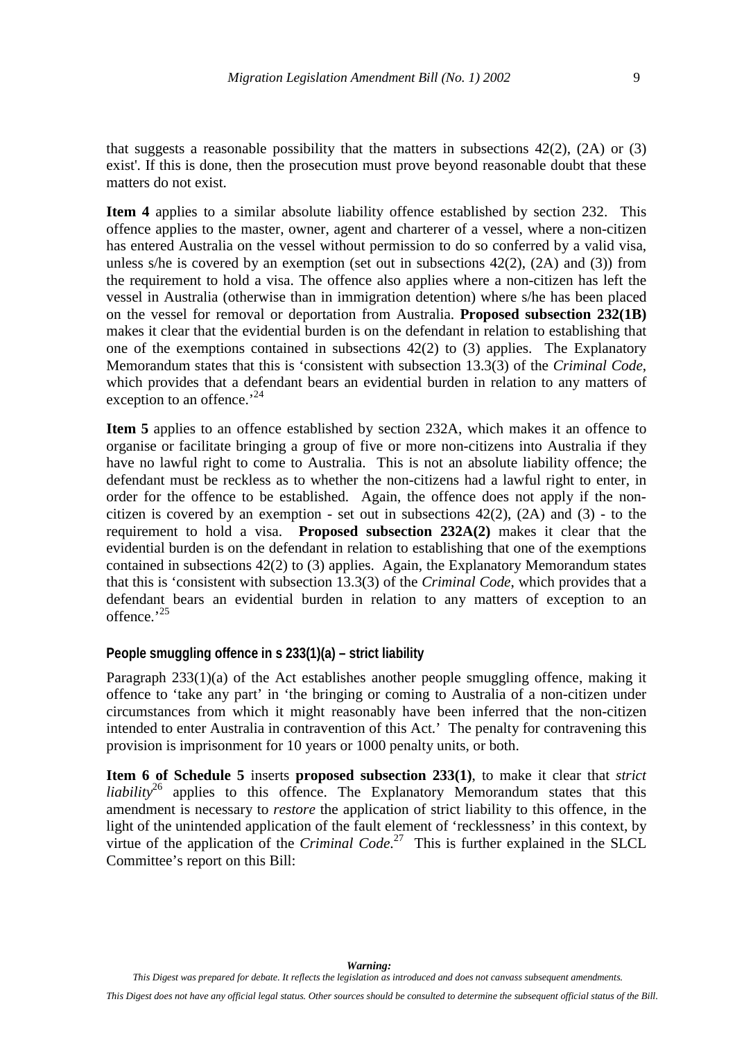<span id="page-12-0"></span>that suggests a reasonable possibility that the matters in subsections  $42(2)$ ,  $(2A)$  or  $(3)$ exist'. If this is done, then the prosecution must prove beyond reasonable doubt that these matters do not exist.

**Item 4** applies to a similar absolute liability offence established by section 232. This offence applies to the master, owner, agent and charterer of a vessel, where a non-citizen has entered Australia on the vessel without permission to do so conferred by a valid visa, unless s/he is covered by an exemption (set out in subsections  $42(2)$ ,  $(2A)$  and  $(3)$ ) from the requirement to hold a visa. The offence also applies where a non-citizen has left the vessel in Australia (otherwise than in immigration detention) where s/he has been placed on the vessel for removal or deportation from Australia. **Proposed subsection 232(1B)** makes it clear that the evidential burden is on the defendant in relation to establishing that one of the exemptions contained in subsections 42(2) to (3) applies. The Explanatory Memorandum states that this is 'consistent with subsection 13.3(3) of the *Criminal Code*, which provides that a defendant bears an evidential burden in relation to any matters of exception to an offence.<sup>[24](#page--1-0)</sup>

**Item 5** applies to an offence established by section 232A, which makes it an offence to organise or facilitate bringing a group of five or more non-citizens into Australia if they have no lawful right to come to Australia. This is not an absolute liability offence; the defendant must be reckless as to whether the non-citizens had a lawful right to enter, in order for the offence to be established. Again, the offence does not apply if the noncitizen is covered by an exemption - set out in subsections  $42(2)$ ,  $(2A)$  and  $(3)$  - to the requirement to hold a visa. **Proposed subsection 232A(2)** makes it clear that the evidential burden is on the defendant in relation to establishing that one of the exemptions contained in subsections  $42(2)$  to  $(3)$  applies. Again, the Explanatory Memorandum states that this is 'consistent with subsection 13.3(3) of the *Criminal Code*, which provides that a defendant bears an evidential burden in relation to any matters of exception to an offence.<sup>'[25](#page--1-0)</sup>

#### **People smuggling offence in s 233(1)(a) – strict liability**

Paragraph 233(1)(a) of the Act establishes another people smuggling offence, making it offence to 'take any part' in 'the bringing or coming to Australia of a non-citizen under circumstances from which it might reasonably have been inferred that the non-citizen intended to enter Australia in contravention of this Act.' The penalty for contravening this provision is imprisonment for 10 years or 1000 penalty units, or both.

**Item 6 of Schedule 5** inserts **proposed subsection 233(1)**, to make it clear that *strict liability*<sup>26</sup> applies to this offence. The Explanatory Memorandum states that this amendment is necessary to *restore* the application of strict liability to this offence, in the light of the unintended application of the fault element of 'recklessness' in this context, by virtue of the application of the *Criminal Code*. [27](#page--1-0) This is further explained in the SLCL Committee's report on this Bill: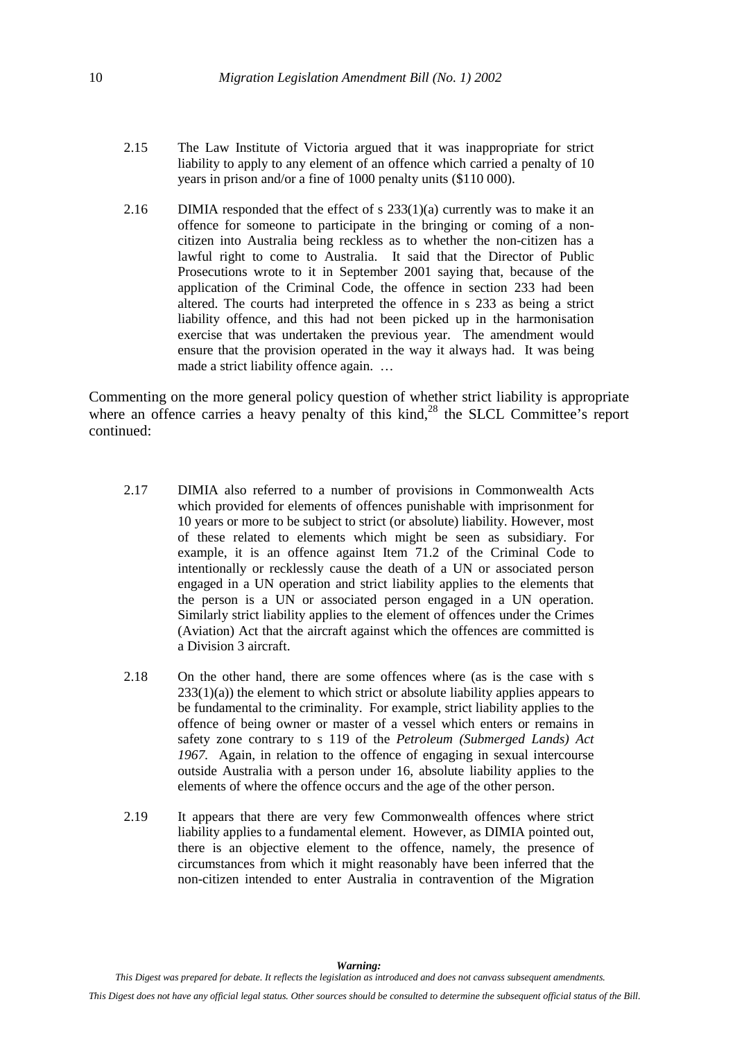- 2.15 The Law Institute of Victoria argued that it was inappropriate for strict liability to apply to any element of an offence which carried a penalty of 10 years in prison and/or a fine of 1000 penalty units (\$110 000).
- 2.16 DIMIA responded that the effect of s  $233(1)(a)$  currently was to make it an offence for someone to participate in the bringing or coming of a noncitizen into Australia being reckless as to whether the non-citizen has a lawful right to come to Australia. It said that the Director of Public Prosecutions wrote to it in September 2001 saying that, because of the application of the Criminal Code, the offence in section 233 had been altered. The courts had interpreted the offence in s 233 as being a strict liability offence, and this had not been picked up in the harmonisation exercise that was undertaken the previous year. The amendment would ensure that the provision operated in the way it always had. It was being made a strict liability offence again. …

Commenting on the more general policy question of whether strict liability is appropriate where an offence carries a heavy penalty of this kind.<sup>28</sup> the SLCL Committee's report continued:

- 2.17 DIMIA also referred to a number of provisions in Commonwealth Acts which provided for elements of offences punishable with imprisonment for 10 years or more to be subject to strict (or absolute) liability. However, most of these related to elements which might be seen as subsidiary. For example, it is an offence against Item 71.2 of the Criminal Code to intentionally or recklessly cause the death of a UN or associated person engaged in a UN operation and strict liability applies to the elements that the person is a UN or associated person engaged in a UN operation. Similarly strict liability applies to the element of offences under the Crimes (Aviation) Act that the aircraft against which the offences are committed is a Division 3 aircraft.
- 2.18 On the other hand, there are some offences where (as is the case with s  $233(1)(a)$ ) the element to which strict or absolute liability applies appears to be fundamental to the criminality. For example, strict liability applies to the offence of being owner or master of a vessel which enters or remains in safety zone contrary to s 119 of the *Petroleum (Submerged Lands) Act 1967.* Again, in relation to the offence of engaging in sexual intercourse outside Australia with a person under 16, absolute liability applies to the elements of where the offence occurs and the age of the other person.
- 2.19 It appears that there are very few Commonwealth offences where strict liability applies to a fundamental element. However, as DIMIA pointed out, there is an objective element to the offence, namely, the presence of circumstances from which it might reasonably have been inferred that the non-citizen intended to enter Australia in contravention of the Migration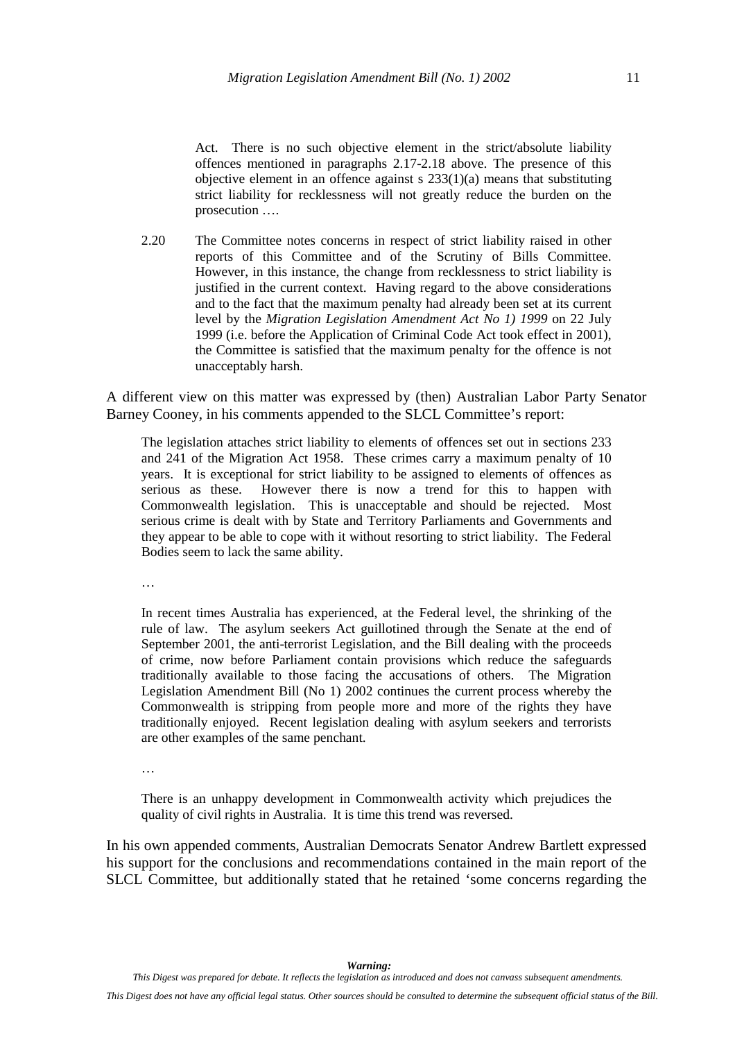Act. There is no such objective element in the strict/absolute liability offences mentioned in paragraphs 2.17-2.18 above. The presence of this objective element in an offence against s  $233(1)(a)$  means that substituting strict liability for recklessness will not greatly reduce the burden on the prosecution ….

2.20 The Committee notes concerns in respect of strict liability raised in other reports of this Committee and of the Scrutiny of Bills Committee. However, in this instance, the change from recklessness to strict liability is justified in the current context. Having regard to the above considerations and to the fact that the maximum penalty had already been set at its current level by the *Migration Legislation Amendment Act No 1) 1999* on 22 July 1999 (i.e. before the Application of Criminal Code Act took effect in 2001), the Committee is satisfied that the maximum penalty for the offence is not unacceptably harsh.

A different view on this matter was expressed by (then) Australian Labor Party Senator Barney Cooney, in his comments appended to the SLCL Committee's report:

The legislation attaches strict liability to elements of offences set out in sections 233 and 241 of the Migration Act 1958. These crimes carry a maximum penalty of 10 years. It is exceptional for strict liability to be assigned to elements of offences as serious as these. However there is now a trend for this to happen with Commonwealth legislation. This is unacceptable and should be rejected. Most serious crime is dealt with by State and Territory Parliaments and Governments and they appear to be able to cope with it without resorting to strict liability. The Federal Bodies seem to lack the same ability.

…

In recent times Australia has experienced, at the Federal level, the shrinking of the rule of law. The asylum seekers Act guillotined through the Senate at the end of September 2001, the anti-terrorist Legislation, and the Bill dealing with the proceeds of crime, now before Parliament contain provisions which reduce the safeguards traditionally available to those facing the accusations of others. The Migration Legislation Amendment Bill (No 1) 2002 continues the current process whereby the Commonwealth is stripping from people more and more of the rights they have traditionally enjoyed. Recent legislation dealing with asylum seekers and terrorists are other examples of the same penchant.

…

There is an unhappy development in Commonwealth activity which prejudices the quality of civil rights in Australia. It is time this trend was reversed.

In his own appended comments, Australian Democrats Senator Andrew Bartlett expressed his support for the conclusions and recommendations contained in the main report of the SLCL Committee, but additionally stated that he retained 'some concerns regarding the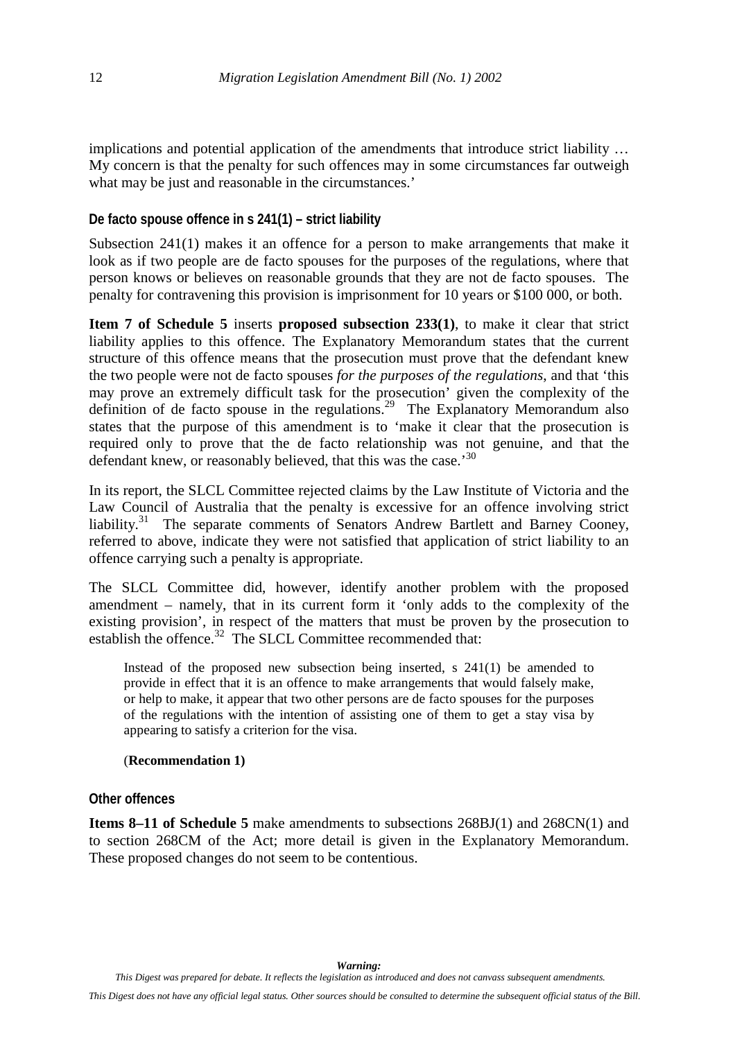<span id="page-15-0"></span>implications and potential application of the amendments that introduce strict liability … My concern is that the penalty for such offences may in some circumstances far outweigh what may be just and reasonable in the circumstances.'

### **De facto spouse offence in s 241(1) – strict liability**

Subsection 241(1) makes it an offence for a person to make arrangements that make it look as if two people are de facto spouses for the purposes of the regulations, where that person knows or believes on reasonable grounds that they are not de facto spouses. The penalty for contravening this provision is imprisonment for 10 years or \$100 000, or both.

**Item 7 of Schedule 5** inserts **proposed subsection 233(1)**, to make it clear that strict liability applies to this offence. The Explanatory Memorandum states that the current structure of this offence means that the prosecution must prove that the defendant knew the two people were not de facto spouses *for the purposes of the regulations*, and that 'this may prove an extremely difficult task for the prosecution' given the complexity of the definition of de facto spouse in the regulations.<sup>29</sup> The Explanatory Memorandum also states that the purpose of this amendment is to 'make it clear that the prosecution is required only to prove that the de facto relationship was not genuine, and that the defendant knew, or reasonably believed, that this was the case.<sup>[30](#page--1-0)</sup>

In its report, the SLCL Committee rejected claims by the Law Institute of Victoria and the Law Council of Australia that the penalty is excessive for an offence involving strict liability.<sup>31</sup> The separate comments of Senators Andrew Bartlett and Barney Cooney, referred to above, indicate they were not satisfied that application of strict liability to an offence carrying such a penalty is appropriate.

The SLCL Committee did, however, identify another problem with the proposed amendment – namely, that in its current form it 'only adds to the complexity of the existing provision', in respect of the matters that must be proven by the prosecution to establish the offence.<sup>32</sup> The SLCL Committee recommended that:

Instead of the proposed new subsection being inserted, s 241(1) be amended to provide in effect that it is an offence to make arrangements that would falsely make, or help to make, it appear that two other persons are de facto spouses for the purposes of the regulations with the intention of assisting one of them to get a stay visa by appearing to satisfy a criterion for the visa.

#### (**Recommendation 1)**

#### **Other offences**

**Items 8–11 of Schedule 5** make amendments to subsections 268BJ(1) and 268CN(1) and to section 268CM of the Act; more detail is given in the Explanatory Memorandum. These proposed changes do not seem to be contentious.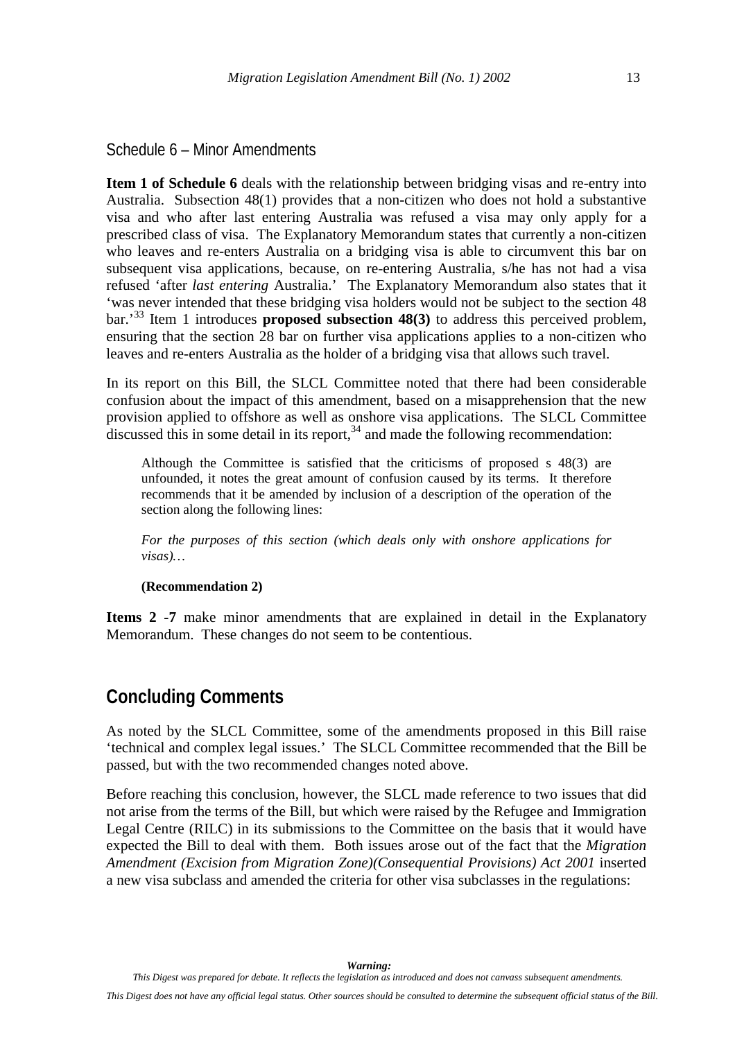<span id="page-16-0"></span>Schedule 6 – Minor Amendments

**Item 1 of Schedule 6** deals with the relationship between bridging visas and re-entry into Australia. Subsection 48(1) provides that a non-citizen who does not hold a substantive visa and who after last entering Australia was refused a visa may only apply for a prescribed class of visa. The Explanatory Memorandum states that currently a non-citizen who leaves and re-enters Australia on a bridging visa is able to circumvent this bar on subsequent visa applications, because, on re-entering Australia, s/he has not had a visa refused 'after *last entering* Australia.' The Explanatory Memorandum also states that it 'was never intended that these bridging visa holders would not be subject to the section 48 bar.'[33](#page--1-0) Item 1 introduces **proposed subsection 48(3)** to address this perceived problem, ensuring that the section 28 bar on further visa applications applies to a non-citizen who leaves and re-enters Australia as the holder of a bridging visa that allows such travel.

In its report on this Bill, the SLCL Committee noted that there had been considerable confusion about the impact of this amendment, based on a misapprehension that the new provision applied to offshore as well as onshore visa applications. The SLCL Committee discussed this in some detail in its report,  $34$  and made the following recommendation:

Although the Committee is satisfied that the criticisms of proposed s 48(3) are unfounded, it notes the great amount of confusion caused by its terms. It therefore recommends that it be amended by inclusion of a description of the operation of the section along the following lines:

*For the purposes of this section (which deals only with onshore applications for visas)…*

#### **(Recommendation 2)**

**Items 2 -7** make minor amendments that are explained in detail in the Explanatory Memorandum. These changes do not seem to be contentious.

## **Concluding Comments**

As noted by the SLCL Committee, some of the amendments proposed in this Bill raise 'technical and complex legal issues.' The SLCL Committee recommended that the Bill be passed, but with the two recommended changes noted above.

Before reaching this conclusion, however, the SLCL made reference to two issues that did not arise from the terms of the Bill, but which were raised by the Refugee and Immigration Legal Centre (RILC) in its submissions to the Committee on the basis that it would have expected the Bill to deal with them. Both issues arose out of the fact that the *Migration Amendment (Excision from Migration Zone)(Consequential Provisions) Act 2001* inserted a new visa subclass and amended the criteria for other visa subclasses in the regulations: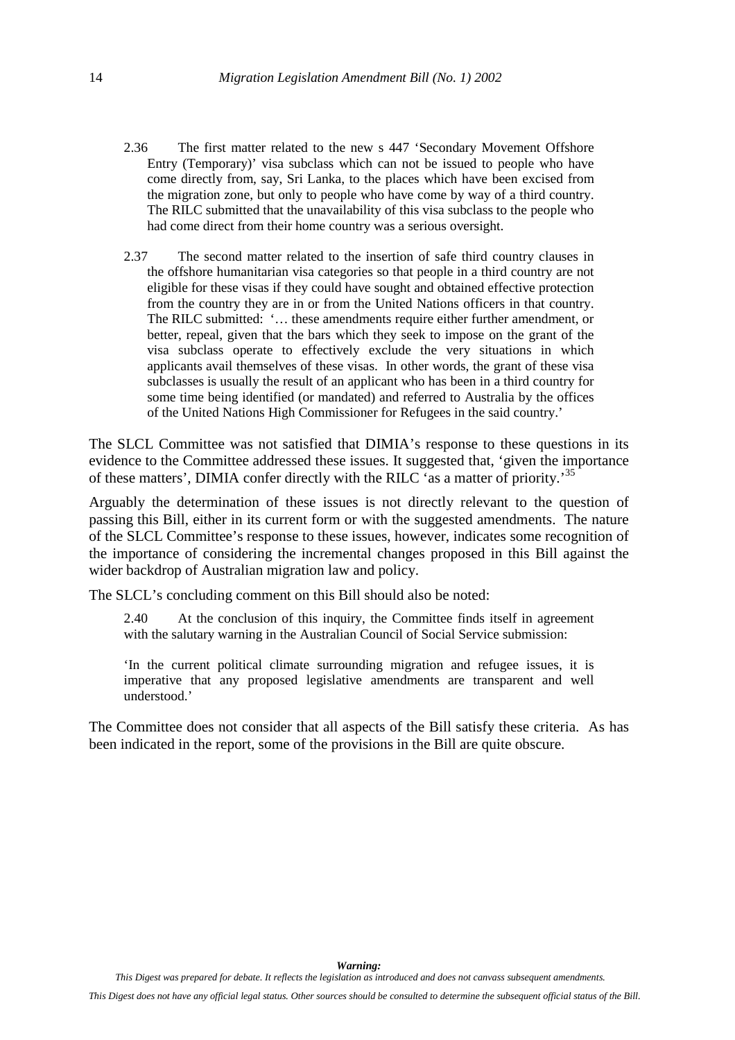- 2.36 The first matter related to the new s 447 'Secondary Movement Offshore Entry (Temporary)' visa subclass which can not be issued to people who have come directly from, say, Sri Lanka, to the places which have been excised from the migration zone, but only to people who have come by way of a third country. The RILC submitted that the unavailability of this visa subclass to the people who had come direct from their home country was a serious oversight.
- 2.37 The second matter related to the insertion of safe third country clauses in the offshore humanitarian visa categories so that people in a third country are not eligible for these visas if they could have sought and obtained effective protection from the country they are in or from the United Nations officers in that country. The RILC submitted: '… these amendments require either further amendment, or better, repeal, given that the bars which they seek to impose on the grant of the visa subclass operate to effectively exclude the very situations in which applicants avail themselves of these visas. In other words, the grant of these visa subclasses is usually the result of an applicant who has been in a third country for some time being identified (or mandated) and referred to Australia by the offices of the United Nations High Commissioner for Refugees in the said country.'

The SLCL Committee was not satisfied that DIMIA's response to these questions in its evidence to the Committee addressed these issues. It suggested that, 'given the importance of these matters', DIMIA confer directly with the RILC 'as a matter of priority.'[35](#page--1-0)

Arguably the determination of these issues is not directly relevant to the question of passing this Bill, either in its current form or with the suggested amendments. The nature of the SLCL Committee's response to these issues, however, indicates some recognition of the importance of considering the incremental changes proposed in this Bill against the wider backdrop of Australian migration law and policy.

The SLCL's concluding comment on this Bill should also be noted:

2.40 At the conclusion of this inquiry, the Committee finds itself in agreement with the salutary warning in the Australian Council of Social Service submission:

'In the current political climate surrounding migration and refugee issues, it is imperative that any proposed legislative amendments are transparent and well understood.'

The Committee does not consider that all aspects of the Bill satisfy these criteria. As has been indicated in the report, some of the provisions in the Bill are quite obscure.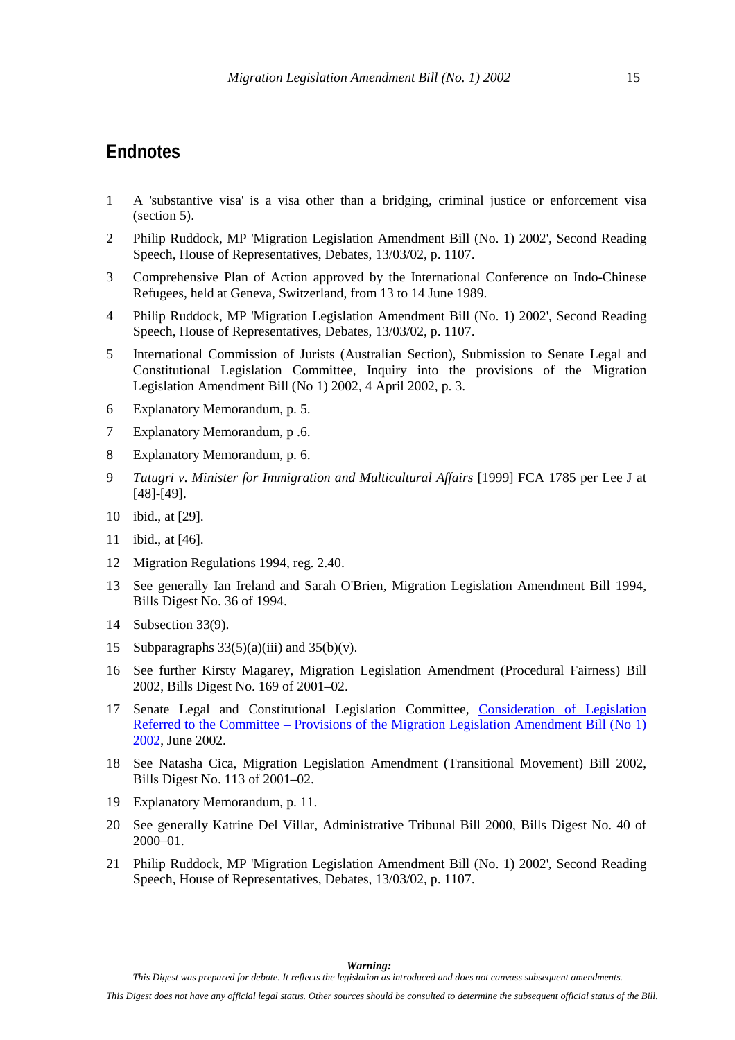### <span id="page-18-0"></span>**Endnotes**

 $\overline{a}$ 

- 1 A 'substantive visa' is a visa other than a bridging, criminal justice or enforcement visa (section 5).
- 2 Philip Ruddock, MP 'Migration Legislation Amendment Bill (No. 1) 2002', Second Reading Speech, House of Representatives, Debates, 13/03/02, p. 1107.
- 3 Comprehensive Plan of Action approved by the International Conference on Indo-Chinese Refugees, held at Geneva, Switzerland, from 13 to 14 June 1989.
- 4 Philip Ruddock, MP 'Migration Legislation Amendment Bill (No. 1) 2002', Second Reading Speech, House of Representatives, Debates, 13/03/02, p. 1107.
- 5 International Commission of Jurists (Australian Section), Submission to Senate Legal and Constitutional Legislation Committee, Inquiry into the provisions of the Migration Legislation Amendment Bill (No 1) 2002, 4 April 2002, p. 3.
- 6 Explanatory Memorandum, p. 5.
- 7 Explanatory Memorandum, p .6.
- 8 Explanatory Memorandum, p. 6.
- 9 *Tutugri v. Minister for Immigration and Multicultural Affairs* [1999] FCA 1785 per Lee J at [48]-[49].
- 10 ibid., at [29].
- 11 ibid., at [46].
- 12 Migration Regulations 1994, reg. 2.40.
- 13 See generally Ian Ireland and Sarah O'Brien, Migration Legislation Amendment Bill 1994, Bills Digest No. 36 of 1994.
- 14 Subsection 33(9).
- 15 Subparagraphs  $33(5)(a)(iii)$  and  $35(b)(v)$ .
- 16 See further Kirsty Magarey, Migration Legislation Amendment (Procedural Fairness) Bill 2002, Bills Digest No. 169 of 2001–02.
- 17 Senate Legal and Constitutional Legislation Committee, Consideration of Legislation Referred to the Committee – Provisions of the Migration Legislation Amendment Bill (No 1) 2002, June 2002.
- 18 See Natasha Cica, Migration Legislation Amendment (Transitional Movement) Bill 2002, Bills Digest No. 113 of 2001–02.
- 19 Explanatory Memorandum, p. 11.
- 20 See generally Katrine Del Villar, Administrative Tribunal Bill 2000, Bills Digest No. 40 of 2000–01.
- 21 Philip Ruddock, MP 'Migration Legislation Amendment Bill (No. 1) 2002', Second Reading Speech, House of Representatives, Debates, 13/03/02, p. 1107.

*Warning:*

*This Digest was prepared for debate. It reflects the legislation as introduced and does not canvass subsequent amendments.*